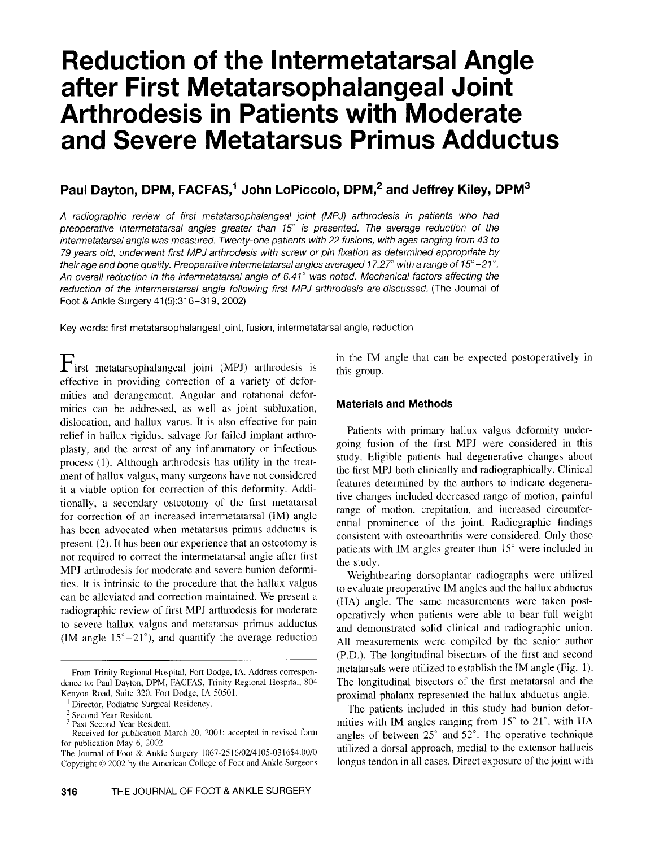# **Reduction of the Intermetatarsal Angle after First Metatarsophalangeal Joint Arthrodesis in Patients with Moderate and Severe Metatarsus Primus Adductus**

# **Paul Dayton, DPM, FACFAS,1 John LoPiccolo, DPM,2 and Jeffrey Kiley, DPM<sup>3</sup>**

A radiographic review of first metatarsophalangeal joint (MPJ) arthrodesis in patients who had preoperative intermetatarsal angles greater than  $15^\circ$  is presented. The average reduction of the intermetatarsal angle was measured. Twenty-one patients with 22 fusions, with ages ranging from 43 to 79 years old, underwent first MPJ arthrodesis with screw or pin fixation as determined appropriate by their age and bone quality. Preoperative intermetatarsal angles averaged 17.27° with a range of 15°-21°. An overall reduction in the intermetatarsal angle of 6.41° was noted. Mechanical factors affecting the reduction of the intermetatarsal angle following first MPJ arthrodesis are discussed. (The Journal of Foot & Ankle Surgery 41(5):316- 319, 2002)

Key words: first metatarsophalangeal joint , fusion , intermetatarsal angle, reduction

First metatarsophalangeal joint (MPJ) arthrodesis is effective in providing correction of a variety of deformities and derangement. Angular and rotational deformities can be addressed, as well as joint subluxation, dislocation, and hallux varus. It is also effective for pain relief in hallux rigidus, salvage for failed implant arthroplasty, and the arrest of any inflammatory or infectious process (1). Although arthrodesis has utility in the treatment of hallux valgus, many surgeons have not considered it a viable option for correction of this deformity. Additionally, a secondary osteotomy of the first metatarsal for correction of an increased intermetatarsal (1M) angle has been advocated when metatarsus primus adductus is present (2). It has been our experience that an osteotomy is not required to correct the intermetatarsal angle after first MPJ arthrodesis for moderate and severe bunion deformities. It is intrinsic to the procedure that the hallux valgus can be alleviated and correction maintained. We present a radiographic review of first MPJ arthrodesis for moderate to severe hallux valgus and metatarsus primus adductus (IM angle  $15^{\circ} - 21^{\circ}$ ), and quantify the average reduction in the 1M angle that can be expected postoperatively in this group.

#### **Materials and Methods**

Patients with primary hallux valgus deformity undergoing fusion of the first MPJ were considered in this study. Eligible patients had degenerative changes about the first MPJ both clinically and radiographically. Clinical features determined by the authors to indicate degenerative changes included decreased range of motion, painful range of motion, crepitation, and increased circumferential prominence of the joint. Radiographic findings consistent with osteoarthritis were considered. Only those patients with 1M angles greater than 15° were included in the study.

Weightbearing dorsoplantar radiographs were utilized to evaluate preoperative IM angles and the hallux abductus (HA) angle. The same measurements were taken postoperatively when patients were able to bear full weight and demonstrated solid clinical and radiographic union. All measurements were compiled by the senior author (P.D.). The longitudinal bisectors of the first and second metatarsals were utilized to establish the 1M angle (Fig. I). The longitudinal bisectors of the first metatarsal and the proximal phalanx represented the hallux abductus angle.

The patients included in this study had bunion deformities with IM angles ranging from  $15^{\circ}$  to  $21^{\circ}$ , with HA angles of between  $25^{\circ}$  and  $52^{\circ}$ . The operative technique utilized a dorsal approach, medial to the extensor hallucis longus tendon in all cases. Direct exposure of the joint with

From Trinity Regional Hospital, Fort Dodge, IA. Address correspondence to: Paul Dayton, DPM, FACFAS, Trinity Regional Hospital, 804 Kenyon Road, Suite 320. Fort Dodge, IA 50501.

<sup>&</sup>lt;sup>1</sup> Director, Podiatric Surgical Residency.

<sup>2</sup> Second Year Resident.

<sup>3</sup> Past Second Year Resident.

Received for publication March 20, 2001; accepted in revised form for publication May 6, 2002.

The Journal of Foot & Ankle Surgery 1067-25 16/02/4 105-03 16\$4.00/0 Copyright © 2002 by the American College of Foot and Ankle Surgeons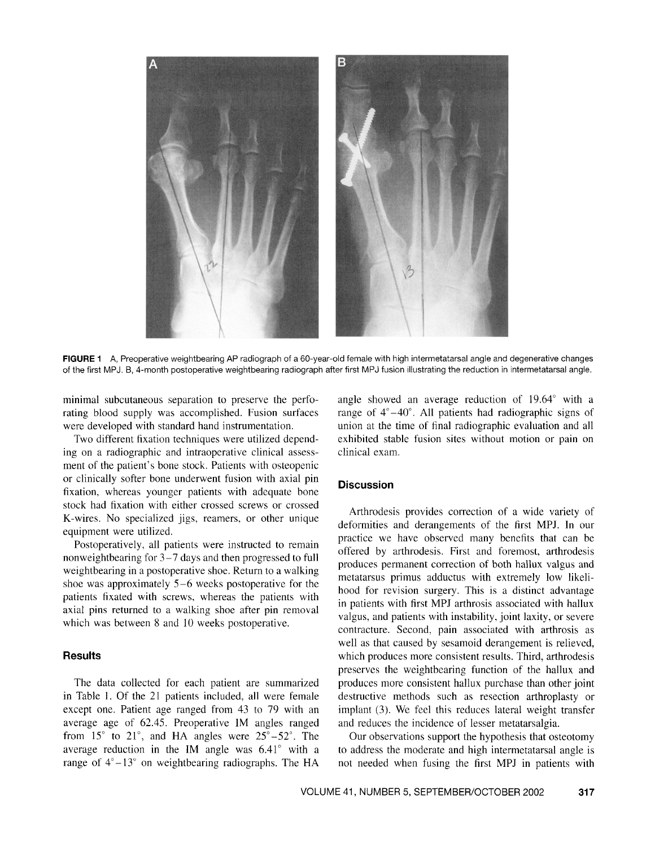

**FIGURE** 1 A, Preoperative weightbearing AP radiograph of a 60-year-old female with high intermetatarsal angle and degenerative changes of the first MPJ. B, 4-month postoperative weightbearing radiograph after first MPJ fusion illustrating the reduction in intermetatarsal angle.

minimal subcutaneous separation to preserve the perforating blood supply was accomplished. Fusion surfaces were developed with standard hand instrumentation.

Two different fixation techniques were utilized depending on a radiographic and intraoperative clinical assessment of the patient's bone stock. Patients with osteopenic or clinically softer bone underwent fusion with axial pin fixation, whereas younger patients with adequate bone stock had fixation with either crossed screws or crossed K-wires. No specialized jigs, reamers, or other unique equipment were utilized.

Postoperatively, all patients were instructed to remain nonweightbearing for 3-7 days and then progressed to full weightbearing in a postoperative shoe. Return to a walking shoe was approximately 5-6 weeks postoperative for the patients fixated with screws, whereas the patients with axial pins returned to a walking shoe after pin removal which was between 8 and 10 weeks postoperative.

#### **Results**

The data collected for each patient are summarized in Table I. Of the 21 patients included, all were female except one. Patient age ranged from 43 to 79 with an average age of 62.45. Preoperative 1M angles ranged from  $15^\circ$  to  $21^\circ$ , and HA angles were  $25^\circ - 52^\circ$ . The average reduction in the IM angle was  $6.41^{\circ}$  with a range of  $4^{\circ}-13^{\circ}$  on weightbearing radiographs. The HA

angle showed an average reduction of 19.64° with a range of  $4^{\circ}-40^{\circ}$ . All patients had radiographic signs of union at the time of final radiographic evaluation and all exhibited stable fusion sites without motion or pain on clinical exam.

## **Discussion**

Arthrodesis provides correction of a wide variety of deformities and derangements of the first MPJ. In our practice we have observed many benefits that can be offered by arthrodesis. First and foremost, arthrodesis produces permanent correction of both hallux valgus and metatarsus primus adductus with extremely low likelihood for revision surgery. This is a distinct advantage in patients with first MPJ arthrosis associated with hallux valgus, and patients with instability, joint laxity, or severe contracture. Second, pain associated with arthrosis as well as that caused by sesamoid derangement is relieved, which produces more consistent results. Third, arthrodesis preserves the weightbearing function of the hallux and produces more consistent hallux purchase than other joint destructive methods such as resection arthroplasty or implant (3). We feel this reduces lateral weight transfer and reduces the incidence of lesser metatarsalgia.

Our observations support the hypothesis that osteotomy to address the moderate and high intermetatarsal angle is not needed when fusing the first MPJ in patients with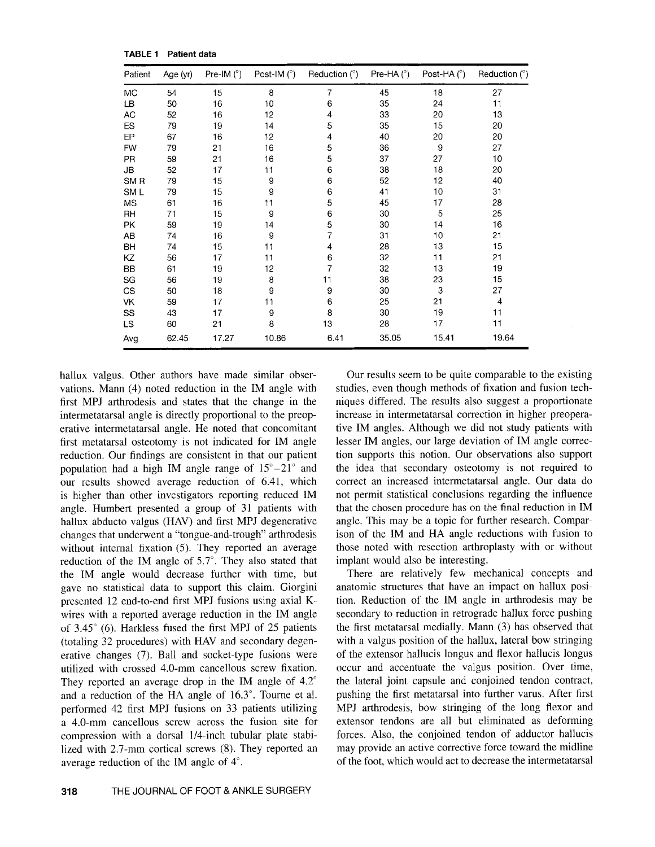**TABLE** 1 Patient data

| Patient         | Age (yr) | Pre-IM $(^\circ)$ | Post-IM $(^\circ)$ | Reduction $(^\circ)$ | Pre-HA $(^{\circ})$ | Post-HA $(^{\circ})$ | Reduction $(°)$ |
|-----------------|----------|-------------------|--------------------|----------------------|---------------------|----------------------|-----------------|
| МC              | 54       | 15                | 8                  | 7                    | 45                  | 18                   | 27              |
| LВ              | 50       | 16                | 10                 | 6                    | 35                  | 24                   | 11              |
| AC              | 52       | 16                | 12                 | 4                    | 33                  | 20                   | 13              |
| ES              | 79       | 19                | 14                 | 5                    | 35                  | 15                   | 20              |
| EP              | 67       | 16                | 12                 | 4                    | 40                  | 20                   | 20              |
| <b>FW</b>       | 79       | 21                | 16                 | 5                    | 36                  | 9                    | 27              |
| PR              | 59       | 21                | 16                 | 5                    | 37                  | 27                   | 10              |
| JB              | 52       | 17                | 11                 | 6                    | 38                  | 18                   | 20              |
| SM <sub>R</sub> | 79       | 15                | 9                  | 6                    | 52                  | 12                   | 40              |
| SM L            | 79       | 15                | 9                  | 6                    | 41                  | 10                   | 31              |
| MS              | 61       | 16                | 11                 | 5                    | 45                  | 17                   | 28              |
| RH              | 71       | 15                | 9                  | 6                    | 30                  | 5                    | 25              |
| PK              | 59       | 19                | 14                 | 5                    | 30                  | 14                   | 16              |
| AB              | 74       | 16                | 9                  | 7                    | 31                  | 10                   | 21              |
| BH              | 74       | 15                | 11                 | 4                    | 28                  | 13                   | 15              |
| ΚZ              | 56       | 17                | 11                 | 6                    | 32                  | 11                   | 21              |
| BB              | 61       | 19                | 12                 | 7                    | 32                  | 13                   | 19              |
| SG              | 56       | 19                | 8                  | 11                   | 38                  | 23                   | 15              |
| CS              | 50       | 18                | 9                  | 9                    | 30                  | 3                    | 27              |
| VK              | 59       | 17                | 11                 | 6                    | 25                  | 21                   | 4               |
| SS              | 43       | 17                | 9                  | 8                    | 30                  | 19                   | 11              |
| LS              | 60       | 21                | 8                  | 13                   | 28                  | 17                   | 11              |
| Avg             | 62.45    | 17.27             | 10.86              | 6.41                 | 35.05               | 15.41                | 19.64           |

hallux valgus. Other authors have made similar observations. Mann (4) noted reduction in the 1M angle with first MPl arthrodesis and states that the change in the intermetatarsal angle is directly proportional to the preoperative intermetatarsal angle. He noted that concomitant first metatarsal osteotomy is not indicated for 1M angle reduction. Our findings are consistent in that our patient population had a high IM angle range of  $15^{\circ} - 21^{\circ}$  and our results showed average reduction of 6.41, which is higher than other investigators reporting reduced IM angle. Humbert presented a group of 31 patients with hallux abducto valgus (HAV) and first MPJ degenerative changes that underwent a "tongue-and-trough" arthrodesis without internal fixation  $(5)$ . They reported an average reduction of the IM angle of  $5.7^{\circ}$ . They also stated that the 1M angle would decrease further with time, but gave no statistical data to support this claim. Giorgini presented 12 end-to-end first MPl fusions using axial Kwires with a reported average reduction in the 1M angle of 3.45° (6). Harkless fused the first MPl of 25 patients (totaling 32 procedures) with HAY and secondary degenerative changes (7). Ball and socket-type fusions were utilized with crossed 4.0-mm cancellous screw fixation. They reported an average drop in the IM angle of  $4.2^{\circ}$ and a reduction of the HA angle of 16.3°. Tourne et al. performed 42 first MPl fusions on 33 patients utilizing a 4.0-mm cancellous screw across the fusion site for compression with a dorsal 1/4-inch tubular plate stabilized with 2.7-mm cortical screws (8). They reported an average reduction of the 1M angle of 4°.

Our results seem to be quite comparable to the existing studies, even though methods of fixation and fusion techniques differed. The results also suggest a proportionate increase in intermetatarsal correction in higher preoperative 1M angles. Although we did not study patients with lesser 1M angles, our large deviation of 1M angle correction supports this notion. Our observations also support the idea that secondary osteotomy is not required to correct an increased intermetatarsal angle. Our data do not permit statistical conclusions regarding the influence that the chosen procedure has on the final reduction in IM angle. This may be a topic for further research. Comparison of the 1M and HA angle reductions with fusion to those noted with resection arthroplasty with or without implant would also be interesting.

There are relatively few mechanical concepts and anatomic structures that have an impact on hallux position. Reduction of the 1M angle in arthrodesis may be secondary to reduction in retrograde hallux force pushing the first metatarsal medially. Mann (3) has observed that with a valgus position of the hallux, lateral bow stringing of the extensor hallucis longus and flexor hallucis longus occur and accentuate the valgus position. Over time, the lateral joint capsule and conjoined tendon contract, pushing the first metatarsal into further varus. After first MPl arthrodesis, bow stringing of the long flexor and extensor tendons are all but eliminated as deforming forces. Also, the conjoined tendon of adductor hallucis may provide an active corrective force toward the midline of the foot, which would act to decrease the intermetatarsal